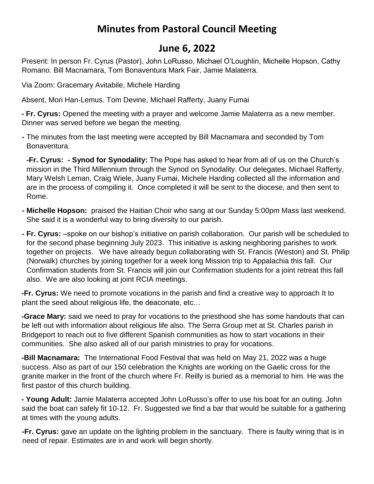## **Minutes from Pastoral Council Meeting**

## **June 6, 2022**

Present: In person Fr. Cyrus (Pastor), John LoRusso, Michael O'Loughlin, Michelle Hopson, Cathy Romano. Bill Macnamara, Tom Bonaventura Mark Fair, Jamie Malaterra.

Via Zoom: Gracemary Avitabile, Michele Harding

Absent, Mori Han-Lemus. Tom Devine, Michael Rafferty, Juany Fumai

**- Fr. Cyrus:** Opened the meeting with a prayer and welcome Jamie Malaterra as a new member. Dinner was served before we began the meeting.

**-** The minutes from the last meeting were accepted by Bill Macnamara and seconded by Tom Bonaventura.

**-Fr. Cyrus: - Synod for Synodality:** The Pope has asked to hear from all of us on the Church's mission in the Third Millennium through the Synod on Synodality. Our delegates, Michael Rafferty, Mary Welsh Leman, Craig Wiele, Juany Fumai, Michele Harding collected all the information and are in the process of compiling it. Once completed it will be sent to the diocese, and then sent to Rome.

- **- Michelle Hopson:** praised the Haitian Choir who sang at our Sunday 5:00pm Mass last weekend. She said it is a wonderful way to bring diversity to our parish.
- **- Fr. Cyrus:** –spoke on our bishop's initiative on parish collaboration. Our parish will be scheduled to for the second phase beginning July 2023. This initiative is asking neighboring parishes to work together on projects. We have already begun collaborating with St. Francis (Weston) and St. Philip (Norwalk) churches by joining together for a week long Mission trip to Appalachia this fall. Our Confirmation students from St. Francis will join our Confirmation students for a joint retreat this fall also. We are also looking at joint RCIA meetings.

**-Fr. Cyrus:** We need to promote vocations in the parish and find a creative way to approach It to plant the seed about religious life, the deaconate, etc…

**-Grace Mary:** said we need to pray for vocations to the priesthood she has some handouts that can be left out with information about religious life also. The Serra Group met at St. Charles parish in Bridgeport to reach out to five different Spanish communities as how to start vocations in their communities. She also asked all of our parish ministries to pray for vocations.

**-Bill Macnamara:** The International Food Festival that was held on May 21, 2022 was a huge success. Also as part of our 150 celebration the Knights are working on the Gaelic cross for the granite marker in the front of the church where Fr. Reilly is buried as a memorial to him. He was the first pastor of this church building.

**- Young Adult:** Jamie Malaterra accepted John LoRusso's offer to use his boat for an outing. John said the boat can safely fit 10-12. Fr. Suggested we find a bar that would be suitable for a gathering at times with the young adults.

**-Fr. Cyrus:** gave an update on the lighting problem in the sanctuary. There is faulty wiring that is in need of repair. Estimates are in and work will begin shortly.